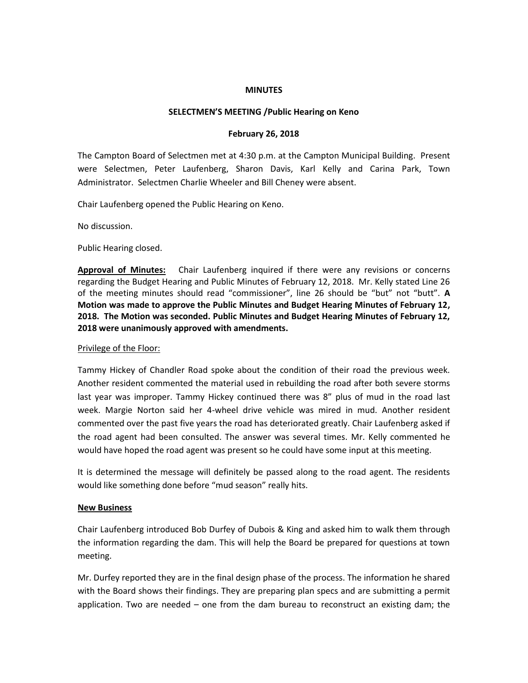#### **MINUTES**

### **SELECTMEN'S MEETING /Public Hearing on Keno**

### **February 26, 2018**

The Campton Board of Selectmen met at 4:30 p.m. at the Campton Municipal Building. Present were Selectmen, Peter Laufenberg, Sharon Davis, Karl Kelly and Carina Park, Town Administrator. Selectmen Charlie Wheeler and Bill Cheney were absent.

Chair Laufenberg opened the Public Hearing on Keno.

No discussion.

Public Hearing closed.

**Approval of Minutes:** Chair Laufenberg inquired if there were any revisions or concerns regarding the Budget Hearing and Public Minutes of February 12, 2018. Mr. Kelly stated Line 26 of the meeting minutes should read "commissioner", line 26 should be "but" not "butt". **A Motion was made to approve the Public Minutes and Budget Hearing Minutes of February 12, 2018. The Motion was seconded. Public Minutes and Budget Hearing Minutes of February 12, 2018 were unanimously approved with amendments.** 

### Privilege of the Floor:

Tammy Hickey of Chandler Road spoke about the condition of their road the previous week. Another resident commented the material used in rebuilding the road after both severe storms last year was improper. Tammy Hickey continued there was 8" plus of mud in the road last week. Margie Norton said her 4-wheel drive vehicle was mired in mud. Another resident commented over the past five years the road has deteriorated greatly. Chair Laufenberg asked if the road agent had been consulted. The answer was several times. Mr. Kelly commented he would have hoped the road agent was present so he could have some input at this meeting.

It is determined the message will definitely be passed along to the road agent. The residents would like something done before "mud season" really hits.

### **New Business**

Chair Laufenberg introduced Bob Durfey of Dubois & King and asked him to walk them through the information regarding the dam. This will help the Board be prepared for questions at town meeting.

Mr. Durfey reported they are in the final design phase of the process. The information he shared with the Board shows their findings. They are preparing plan specs and are submitting a permit application. Two are needed  $-$  one from the dam bureau to reconstruct an existing dam; the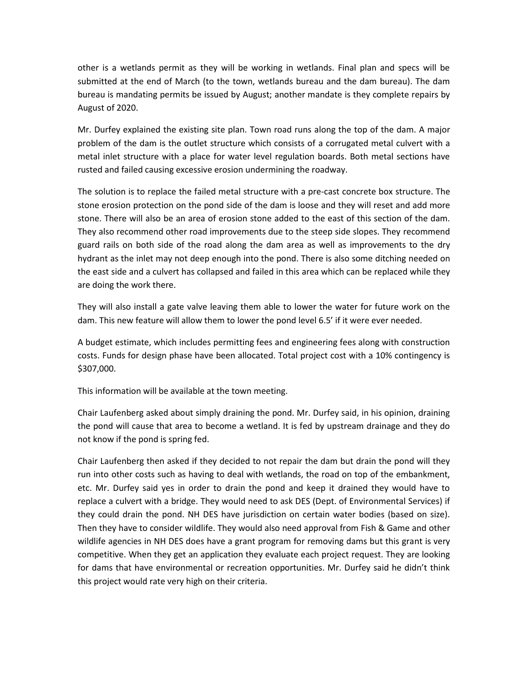other is a wetlands permit as they will be working in wetlands. Final plan and specs will be submitted at the end of March (to the town, wetlands bureau and the dam bureau). The dam bureau is mandating permits be issued by August; another mandate is they complete repairs by August of 2020.

Mr. Durfey explained the existing site plan. Town road runs along the top of the dam. A major problem of the dam is the outlet structure which consists of a corrugated metal culvert with a metal inlet structure with a place for water level regulation boards. Both metal sections have rusted and failed causing excessive erosion undermining the roadway.

The solution is to replace the failed metal structure with a pre-cast concrete box structure. The stone erosion protection on the pond side of the dam is loose and they will reset and add more stone. There will also be an area of erosion stone added to the east of this section of the dam. They also recommend other road improvements due to the steep side slopes. They recommend guard rails on both side of the road along the dam area as well as improvements to the dry hydrant as the inlet may not deep enough into the pond. There is also some ditching needed on the east side and a culvert has collapsed and failed in this area which can be replaced while they are doing the work there.

They will also install a gate valve leaving them able to lower the water for future work on the dam. This new feature will allow them to lower the pond level 6.5' if it were ever needed.

A budget estimate, which includes permitting fees and engineering fees along with construction costs. Funds for design phase have been allocated. Total project cost with a 10% contingency is \$307,000.

This information will be available at the town meeting.

Chair Laufenberg asked about simply draining the pond. Mr. Durfey said, in his opinion, draining the pond will cause that area to become a wetland. It is fed by upstream drainage and they do not know if the pond is spring fed.

Chair Laufenberg then asked if they decided to not repair the dam but drain the pond will they run into other costs such as having to deal with wetlands, the road on top of the embankment, etc. Mr. Durfey said yes in order to drain the pond and keep it drained they would have to replace a culvert with a bridge. They would need to ask DES (Dept. of Environmental Services) if they could drain the pond. NH DES have jurisdiction on certain water bodies (based on size). Then they have to consider wildlife. They would also need approval from Fish & Game and other wildlife agencies in NH DES does have a grant program for removing dams but this grant is very competitive. When they get an application they evaluate each project request. They are looking for dams that have environmental or recreation opportunities. Mr. Durfey said he didn't think this project would rate very high on their criteria.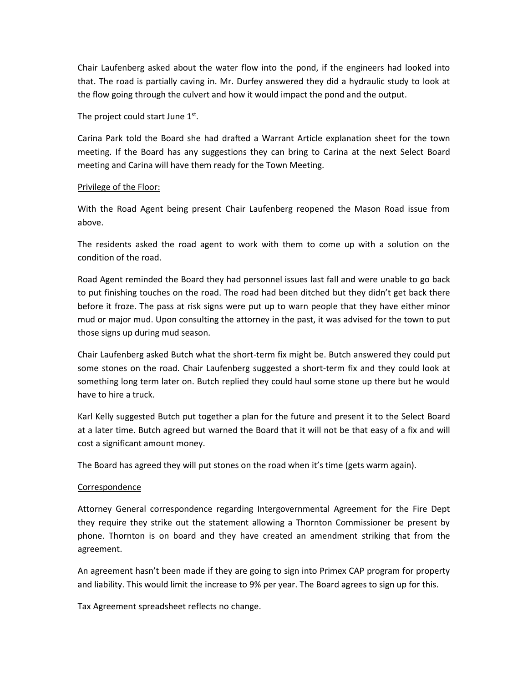Chair Laufenberg asked about the water flow into the pond, if the engineers had looked into that. The road is partially caving in. Mr. Durfey answered they did a hydraulic study to look at the flow going through the culvert and how it would impact the pond and the output.

The project could start June 1st.

Carina Park told the Board she had drafted a Warrant Article explanation sheet for the town meeting. If the Board has any suggestions they can bring to Carina at the next Select Board meeting and Carina will have them ready for the Town Meeting.

# Privilege of the Floor:

With the Road Agent being present Chair Laufenberg reopened the Mason Road issue from above.

The residents asked the road agent to work with them to come up with a solution on the condition of the road.

Road Agent reminded the Board they had personnel issues last fall and were unable to go back to put finishing touches on the road. The road had been ditched but they didn't get back there before it froze. The pass at risk signs were put up to warn people that they have either minor mud or major mud. Upon consulting the attorney in the past, it was advised for the town to put those signs up during mud season.

Chair Laufenberg asked Butch what the short-term fix might be. Butch answered they could put some stones on the road. Chair Laufenberg suggested a short-term fix and they could look at something long term later on. Butch replied they could haul some stone up there but he would have to hire a truck.

Karl Kelly suggested Butch put together a plan for the future and present it to the Select Board at a later time. Butch agreed but warned the Board that it will not be that easy of a fix and will cost a significant amount money.

The Board has agreed they will put stones on the road when it's time (gets warm again).

# **Correspondence**

Attorney General correspondence regarding Intergovernmental Agreement for the Fire Dept they require they strike out the statement allowing a Thornton Commissioner be present by phone. Thornton is on board and they have created an amendment striking that from the agreement.

An agreement hasn't been made if they are going to sign into Primex CAP program for property and liability. This would limit the increase to 9% per year. The Board agrees to sign up for this.

Tax Agreement spreadsheet reflects no change.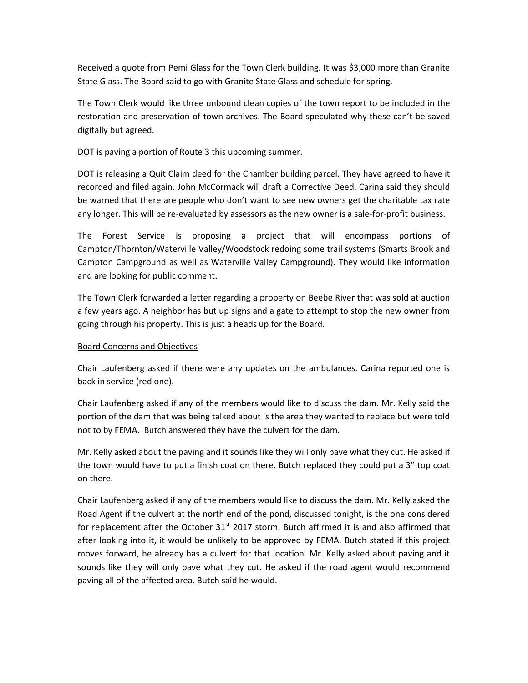Received a quote from Pemi Glass for the Town Clerk building. It was \$3,000 more than Granite State Glass. The Board said to go with Granite State Glass and schedule for spring.

The Town Clerk would like three unbound clean copies of the town report to be included in the restoration and preservation of town archives. The Board speculated why these can't be saved digitally but agreed.

DOT is paving a portion of Route 3 this upcoming summer.

DOT is releasing a Quit Claim deed for the Chamber building parcel. They have agreed to have it recorded and filed again. John McCormack will draft a Corrective Deed. Carina said they should be warned that there are people who don't want to see new owners get the charitable tax rate any longer. This will be re-evaluated by assessors as the new owner is a sale-for-profit business.

The Forest Service is proposing a project that will encompass portions of Campton/Thornton/Waterville Valley/Woodstock redoing some trail systems (Smarts Brook and Campton Campground as well as Waterville Valley Campground). They would like information and are looking for public comment.

The Town Clerk forwarded a letter regarding a property on Beebe River that was sold at auction a few years ago. A neighbor has but up signs and a gate to attempt to stop the new owner from going through his property. This is just a heads up for the Board.

# Board Concerns and Objectives

Chair Laufenberg asked if there were any updates on the ambulances. Carina reported one is back in service (red one).

Chair Laufenberg asked if any of the members would like to discuss the dam. Mr. Kelly said the portion of the dam that was being talked about is the area they wanted to replace but were told not to by FEMA. Butch answered they have the culvert for the dam.

Mr. Kelly asked about the paving and it sounds like they will only pave what they cut. He asked if the town would have to put a finish coat on there. Butch replaced they could put a 3" top coat on there.

Chair Laufenberg asked if any of the members would like to discuss the dam. Mr. Kelly asked the Road Agent if the culvert at the north end of the pond, discussed tonight, is the one considered for replacement after the October  $31<sup>st</sup>$  2017 storm. Butch affirmed it is and also affirmed that after looking into it, it would be unlikely to be approved by FEMA. Butch stated if this project moves forward, he already has a culvert for that location. Mr. Kelly asked about paving and it sounds like they will only pave what they cut. He asked if the road agent would recommend paving all of the affected area. Butch said he would.